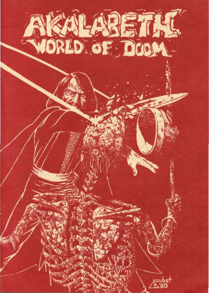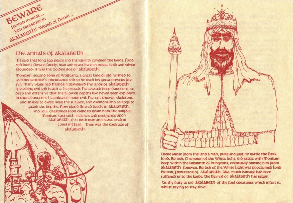#### the annals of akalabeth

akalabeth! World of Goom...

BEWARE

Foolish moretal ...

'Us said that long ago peace and tranquility covered the lands. Lood and drink flowed freely, man and beast lived in peace, gold and silver abounded - It was the Golden age of akalabeth.

Mondain, second Born of Wolfgang, a great king of old, wished to gain his BROther's inheritance and so he used his great powers for evil. Many years had Mondain traversed the lands of akalabeth spreading evil and death as he passed. He created deep dungeons, so beep and extensive that their lower depths had never been explored. In these bungeons he unleased more evil. he sent thieves, skeletons and snakes to owell near the surface, and daemons and Balrogs to **GUARD the depths. Now Blood flowed freely in AKALABETH.** and foul creatures soon came to roam near the surface. Mondain cast such sickness and pestilence upon akalabeth, that both man and beast lived in constant fear. Thus was the bank age of akalabeth.



There arose from the land a man, pure and just, to battle the Oark LORO. BRITISh, Champion of the White Light, on battle with Mondain beep within the labyrinth of bungeons, eventually briving him from akalabeth forever. British of the White light was proclaimed lord BRItish, DROtector of akalaBeth. Alas, much bamage had been suffered unto the lands. The Revival of AkalaBETh has begun.

Lis thy outy to RIO akalaBETh of the foul creatures which infest it, whilst trying to stay alive!!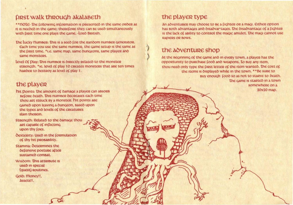## **FIRST WALK THROUGH AKALABETH**

\*\* note- the following information is presented in the same order as It is needed in the game: therefore they can be used simultaneously with first time one plays the game. - Lord British.

The Lucky number: This is a seed for the random number generator. Each time you use the same number, the game setup is the same as the first time. \*I.e. same map, same bungeons, same player and same monsters.

Level Of Dlay: This number is directly related to the monster strength. \* Ie. level of play 10 creates monsters that are ten times harder to destroy as level of play 1.

# the player

hit Doints: The amount of bamage a player can absorb BELORE DEATH. This number decreases each time thou art struck by a monster. hit points are gained upon leaving a dungeon, Based upon the types and levels of the creatures slain therein.

Strength: Related to the bamage thou ant capable of inflicting upon thy foes.

**OEXTERITY: Used in the formulation** of thy hit probability.

**Stamina: Octenmines the** defensive posture after sustained combat.

Wisdom: This attribute is used in special (quest) noutines.

Golo: Money!!, Assets!!.

# the player type

An adventurer may choose to be a fighter or a magi. Either option has both advantages and disadvantages. The disadvantage of a fighten is the lack of ability to control the magic amulet. The magi cannot use RADIERS OR BOWS.

## the adventure shop

At the Beginning of the game and in every town, a player has the opportunity to purchase food and weapons. To buy any item. thou need only type the first letter of the item wanted. The cost of the items is displayed while in the town. \*\* Be sure to Buy enough food so as not to starve to death. The game is started in a town somewhere on a

20x20 map.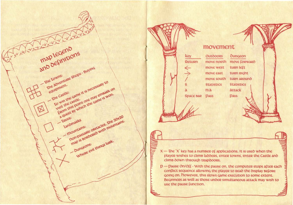



 $X$  – The 'X' key has a number of applications. It is used when the player wishes to climb labbers, enter towns, enter the Castle and clims down through trapdoors.

p - pause On/Off - With the pause on, the computer stops after each conflict sequence allowing the player to read the display before going on. however, this slows game execution to some extent. Beginners as well as those under simultaneous attack may wish to use the pause function.